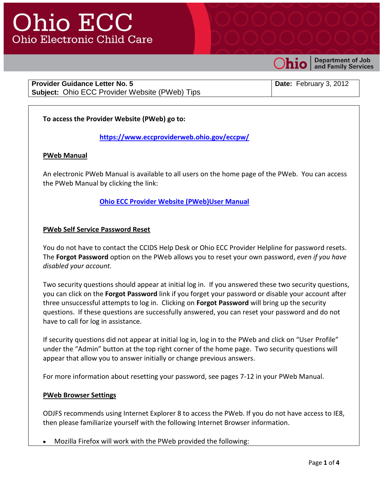

**Department of Job** and Family Services

**Provider Guidance Letter No. 5 Subject:** Ohio ECC Provider Website (PWeb) Tips **Date:** February 3, 2012

# **To access the Provider Website (PWeb) go to:**

**<https://www.eccproviderweb.ohio.gov/eccpw/>**

#### **PWeb Manual**

An electronic PWeb Manual is available to all users on the home page of the PWeb. You can access the PWeb Manual by clicking the link:

## **[Ohio ECC Provider Website \(PWeb\)User Manual](https://www.eccproviderweb.ohio.gov/eccpw/provwebusermanual.pdf)**

#### **PWeb Self Service Password Reset**

You do not have to contact the CCIDS Help Desk or Ohio ECC Provider Helpline for password resets. The **Forgot Password** option on the PWeb allows you to reset your own password, *even if you have disabled your account.*

Two security questions should appear at initial log in. If you answered these two security questions, you can click on the **Forgot Password** link if you forget your password or disable your account after three unsuccessful attempts to log in. Clicking on **Forgot Password** will bring up the security questions. If these questions are successfully answered, you can reset your password and do not have to call for log in assistance.

If security questions did not appear at initial log in, log in to the PWeb and click on "User Profile" under the "Admin" button at the top right corner of the home page. Two security questions will appear that allow you to answer initially or change previous answers.

For more information about resetting your password, see pages 7-12 in your PWeb Manual.

#### **PWeb Browser Settings**

ODJFS recommends using Internet Explorer 8 to access the PWeb. If you do not have access to IE8, then please familiarize yourself with the following Internet Browser information.

Mozilla Firefox will work with the PWeb provided the following: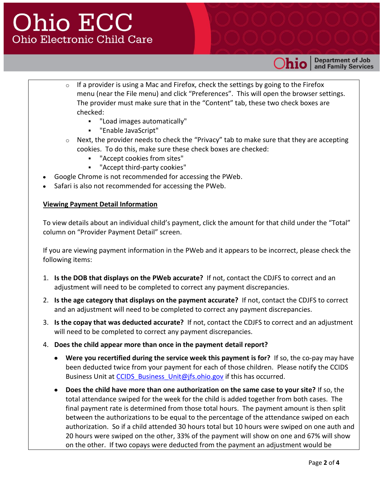

**Department of Job** and Family Services

- $\circ$  If a provider is using a Mac and Firefox, check the settings by going to the Firefox menu (near the File menu) and click "Preferences". This will open the browser settings. The provider must make sure that in the "Content" tab, these two check boxes are checked:
	- "Load images automatically"
	- "Enable JavaScript"
- $\circ$  Next, the provider needs to check the "Privacy" tab to make sure that they are accepting cookies. To do this, make sure these check boxes are checked:
	- "Accept cookies from sites"
	- "Accept third-party cookies"
- Google Chrome is not recommended for accessing the PWeb.
- Safari is also not recommended for accessing the PWeb.

#### **Viewing Payment Detail Information**

To view details about an individual child's payment, click the amount for that child under the "Total" column on "Provider Payment Detail" screen.

If you are viewing payment information in the PWeb and it appears to be incorrect, please check the following items:

- 1. **Is the DOB that displays on the PWeb accurate?** If not, contact the CDJFS to correct and an adjustment will need to be completed to correct any payment discrepancies.
- 2. **Is the age category that displays on the payment accurate?** If not, contact the CDJFS to correct and an adjustment will need to be completed to correct any payment discrepancies.
- 3. **Is the copay that was deducted accurate?** If not, contact the CDJFS to correct and an adjustment will need to be completed to correct any payment discrepancies.
- 4. **Does the child appear more than once in the payment detail report?**
	- **Were you recertified during the service week this payment is for?** If so, the co-pay may have been deducted twice from your payment for each of those children. Please notify the CCIDS Business Unit at CCIDS Business Unit@jfs.ohio.gov if this has occurred.
	- **Does the child have more than one authorization on the same case to your site?** If so, the total attendance swiped for the week for the child is added together from both cases. The final payment rate is determined from those total hours. The payment amount is then split between the authorizations to be equal to the percentage of the attendance swiped on each authorization. So if a child attended 30 hours total but 10 hours were swiped on one auth and 20 hours were swiped on the other, 33% of the payment will show on one and 67% will show on the other. If two copays were deducted from the payment an adjustment would be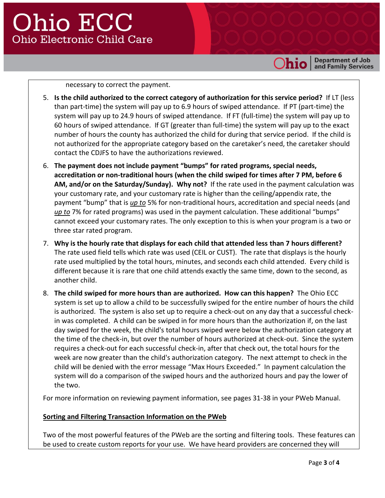**Department of Job<br>and Family Services** 

necessary to correct the payment.

- 5. **Is the child authorized to the correct category of authorization for this service period?** If LT (less than part-time) the system will pay up to 6.9 hours of swiped attendance. If PT (part-time) the system will pay up to 24.9 hours of swiped attendance. If FT (full-time) the system will pay up to 60 hours of swiped attendance. If GT (greater than full-time) the system will pay up to the exact number of hours the county has authorized the child for during that service period. If the child is not authorized for the appropriate category based on the caretaker's need, the caretaker should contact the CDJFS to have the authorizations reviewed.
- 6. **The payment does not include payment "bumps" for rated programs, special needs, accreditation or non-traditional hours (when the child swiped for times after 7 PM, before 6 AM, and/or on the Saturday/Sunday). Why not?** If the rate used in the payment calculation was your customary rate, and your customary rate is higher than the ceiling/appendix rate, the payment "bump" that is *up to* 5% for non-traditional hours, accreditation and special needs (and *up to* 7% for rated programs) was used in the payment calculation. These additional "bumps" cannot exceed your customary rates. The only exception to this is when your program is a two or three star rated program.
- 7. **Why is the hourly rate that displays for each child that attended less than 7 hours different?** The rate used field tells which rate was used (CEIL or CUST). The rate that displays is the hourly rate used multiplied by the total hours, minutes, and seconds each child attended. Every child is different because it is rare that one child attends exactly the same time, down to the second, as another child.
- 8. **The child swiped for more hours than are authorized. How can this happen?** The Ohio ECC system is set up to allow a child to be successfully swiped for the entire number of hours the child is authorized. The system is also set up to require a check-out on any day that a successful checkin was completed. A child can be swiped in for more hours than the authorization if, on the last day swiped for the week, the child's total hours swiped were below the authorization category at the time of the check-in, but over the number of hours authorized at check-out. Since the system requires a check-out for each successful check-in, after that check out, the total hours for the week are now greater than the child's authorization category. The next attempt to check in the child will be denied with the error message "Max Hours Exceeded." In payment calculation the system will do a comparison of the swiped hours and the authorized hours and pay the lower of the two.

For more information on reviewing payment information, see pages 31-38 in your PWeb Manual.

## **Sorting and Filtering Transaction Information on the PWeb**

Two of the most powerful features of the PWeb are the sorting and filtering tools. These features can be used to create custom reports for your use. We have heard providers are concerned they will